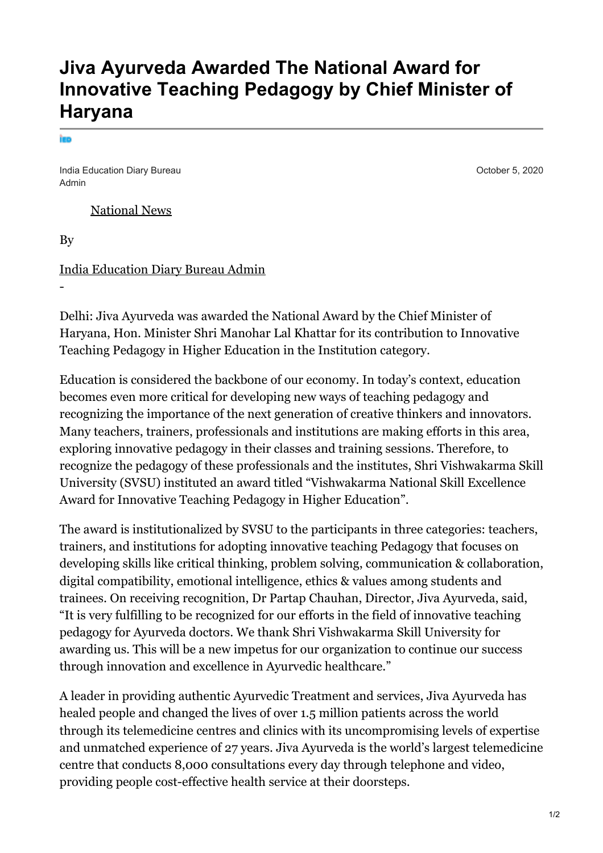## **Jiva Ayurveda Awarded The National Award for Innovative Teaching Pedagogy by Chief Minister of Haryana**

India Education Diary Bureau Admin

[National News](https://indiaeducationdiary.in/category/national-news/)

By

[India Education Diary Bureau Admin](https://indiaeducationdiary.in/author/indiaeduadmin/)

-

Delhi: Jiva Ayurveda was awarded the National Award by the Chief Minister of Haryana, Hon. Minister Shri Manohar Lal Khattar for its contribution to Innovative Teaching Pedagogy in Higher Education in the Institution category.

Education is considered the backbone of our economy. In today's context, education becomes even more critical for developing new ways of teaching pedagogy and recognizing the importance of the next generation of creative thinkers and innovators. Many teachers, trainers, professionals and institutions are making efforts in this area, exploring innovative pedagogy in their classes and training sessions. Therefore, to recognize the pedagogy of these professionals and the institutes, Shri Vishwakarma Skill University (SVSU) instituted an award titled "Vishwakarma National Skill Excellence Award for Innovative Teaching Pedagogy in Higher Education".

The award is institutionalized by SVSU to the participants in three categories: teachers, trainers, and institutions for adopting innovative teaching Pedagogy that focuses on developing skills like critical thinking, problem solving, communication & collaboration, digital compatibility, emotional intelligence, ethics & values among students and trainees. On receiving recognition, Dr Partap Chauhan, Director, Jiva Ayurveda, said, "It is very fulfilling to be recognized for our efforts in the field of innovative teaching pedagogy for Ayurveda doctors. We thank Shri Vishwakarma Skill University for awarding us. This will be a new impetus for our organization to continue our success through innovation and excellence in Ayurvedic healthcare."

A leader in providing authentic Ayurvedic Treatment and services, Jiva Ayurveda has healed people and changed the lives of over 1.5 million patients across the world through its telemedicine centres and clinics with its uncompromising levels of expertise and unmatched experience of 27 years. Jiva Ayurveda is the world's largest telemedicine centre that conducts 8,000 consultations every day through telephone and video, providing people cost-effective health service at their doorsteps.

October 5, 2020